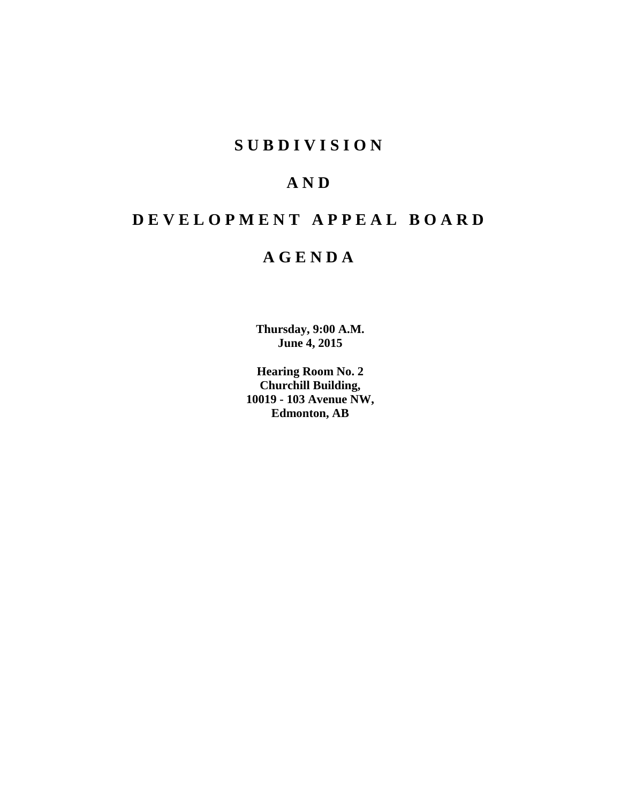# **S U B D I V I S I O N**

# **A N D**

# **D E V E L O P M E N T A P P E A L B O A R D**

# **A G E N D A**

**Thursday, 9:00 A.M. June 4, 2015**

**Hearing Room No. 2 Churchill Building, 10019 - 103 Avenue NW, Edmonton, AB**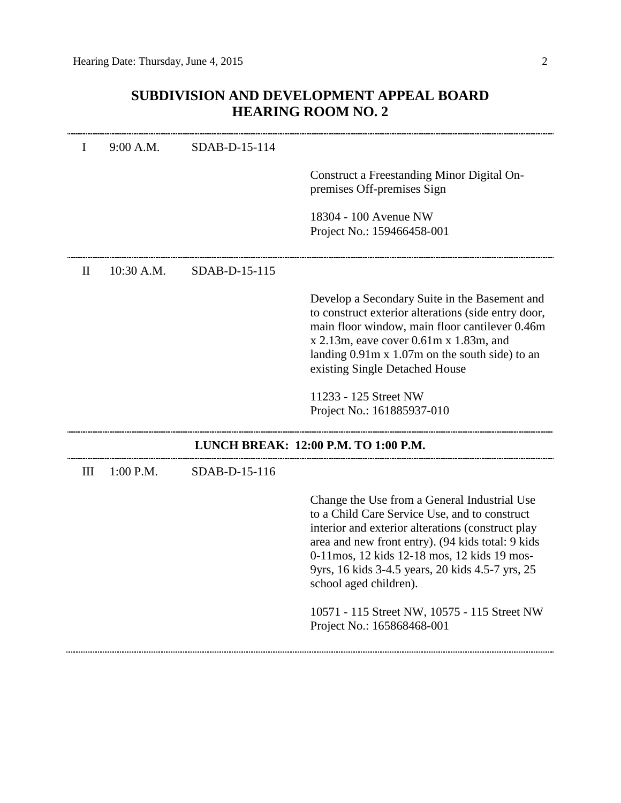# **SUBDIVISION AND DEVELOPMENT APPEAL BOARD HEARING ROOM NO. 2**

| I   | 9:00 A.M.                            | SDAB-D-15-114 |                                                                                                                                                                                                                                                                                                                                                                                                                     |  |  |
|-----|--------------------------------------|---------------|---------------------------------------------------------------------------------------------------------------------------------------------------------------------------------------------------------------------------------------------------------------------------------------------------------------------------------------------------------------------------------------------------------------------|--|--|
|     |                                      |               | Construct a Freestanding Minor Digital On-<br>premises Off-premises Sign                                                                                                                                                                                                                                                                                                                                            |  |  |
|     |                                      |               | 18304 - 100 Avenue NW<br>Project No.: 159466458-001                                                                                                                                                                                                                                                                                                                                                                 |  |  |
| П   | $10:30$ A.M.                         | SDAB-D-15-115 |                                                                                                                                                                                                                                                                                                                                                                                                                     |  |  |
|     |                                      |               | Develop a Secondary Suite in the Basement and<br>to construct exterior alterations (side entry door,<br>main floor window, main floor cantilever 0.46m<br>$x$ 2.13m, eave cover 0.61m $x$ 1.83m, and<br>landing $0.91m \times 1.07m$ on the south side) to an<br>existing Single Detached House                                                                                                                     |  |  |
|     |                                      |               | 11233 - 125 Street NW<br>Project No.: 161885937-010                                                                                                                                                                                                                                                                                                                                                                 |  |  |
|     | LUNCH BREAK: 12:00 P.M. TO 1:00 P.M. |               |                                                                                                                                                                                                                                                                                                                                                                                                                     |  |  |
| III | $1:00$ P.M.                          | SDAB-D-15-116 |                                                                                                                                                                                                                                                                                                                                                                                                                     |  |  |
|     |                                      |               | Change the Use from a General Industrial Use<br>to a Child Care Service Use, and to construct<br>interior and exterior alterations (construct play<br>area and new front entry). (94 kids total: 9 kids<br>0-11 mos, 12 kids 12-18 mos, 12 kids 19 mos-<br>9yrs, 16 kids 3-4.5 years, 20 kids 4.5-7 yrs, 25<br>school aged children).<br>10571 - 115 Street NW, 10575 - 115 Street NW<br>Project No.: 165868468-001 |  |  |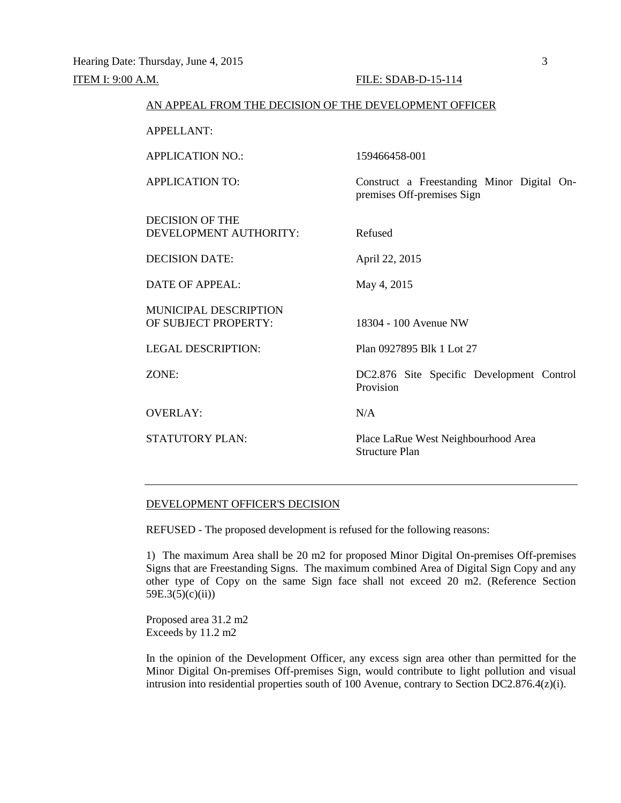| AN APPEAL FROM THE DECISION OF THE DEVELOPMENT OFFICER |                                                                          |  |  |  |
|--------------------------------------------------------|--------------------------------------------------------------------------|--|--|--|
| APPELLANT:                                             |                                                                          |  |  |  |
| <b>APPLICATION NO.:</b>                                | 159466458-001                                                            |  |  |  |
| <b>APPLICATION TO:</b>                                 | Construct a Freestanding Minor Digital On-<br>premises Off-premises Sign |  |  |  |
| <b>DECISION OF THE</b><br>DEVELOPMENT AUTHORITY:       | Refused                                                                  |  |  |  |
| <b>DECISION DATE:</b>                                  | April 22, 2015                                                           |  |  |  |
| DATE OF APPEAL:                                        | May 4, 2015                                                              |  |  |  |
| <b>MUNICIPAL DESCRIPTION</b><br>OF SUBJECT PROPERTY:   | 18304 - 100 Avenue NW                                                    |  |  |  |
| <b>LEGAL DESCRIPTION:</b>                              | Plan 0927895 Blk 1 Lot 27                                                |  |  |  |
| ZONE:                                                  | DC2.876 Site Specific Development Control<br>Provision                   |  |  |  |
| <b>OVERLAY:</b>                                        | N/A                                                                      |  |  |  |
| <b>STATUTORY PLAN:</b>                                 | Place LaRue West Neighbourhood Area<br>Structure Plan                    |  |  |  |
|                                                        |                                                                          |  |  |  |

### DEVELOPMENT OFFICER'S DECISION

REFUSED - The proposed development is refused for the following reasons:

1) The maximum Area shall be 20 m2 for proposed Minor Digital On-premises Off-premises Signs that are Freestanding Signs. The maximum combined Area of Digital Sign Copy and any other type of Copy on the same Sign face shall not exceed 20 m2. (Reference Section 59E.3(5)(c)(ii))

Proposed area 31.2 m2 Exceeds by 11.2 m2

In the opinion of the Development Officer, any excess sign area other than permitted for the Minor Digital On-premises Off-premises Sign, would contribute to light pollution and visual intrusion into residential properties south of 100 Avenue, contrary to Section DC2.876.4(z)(i).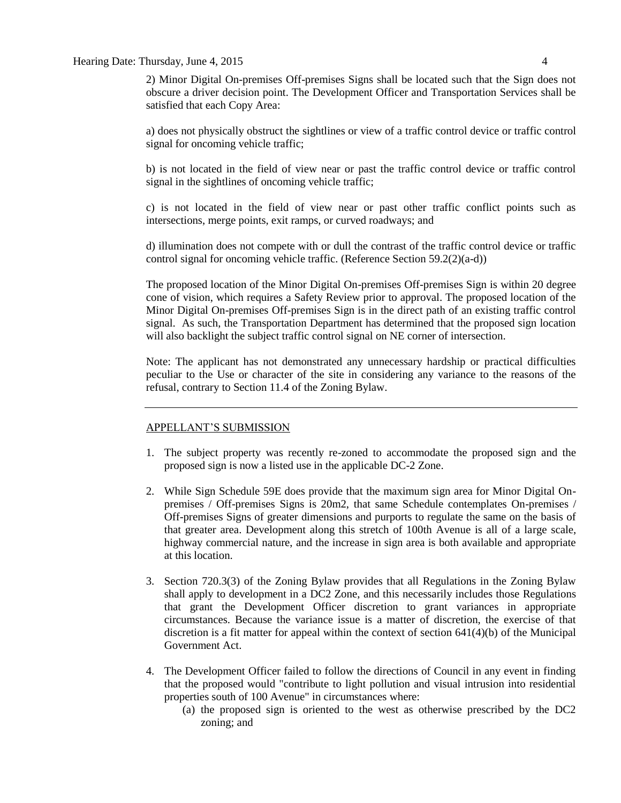2) Minor Digital On-premises Off-premises Signs shall be located such that the Sign does not obscure a driver decision point. The Development Officer and Transportation Services shall be satisfied that each Copy Area:

a) does not physically obstruct the sightlines or view of a traffic control device or traffic control signal for oncoming vehicle traffic;

b) is not located in the field of view near or past the traffic control device or traffic control signal in the sightlines of oncoming vehicle traffic;

c) is not located in the field of view near or past other traffic conflict points such as intersections, merge points, exit ramps, or curved roadways; and

d) illumination does not compete with or dull the contrast of the traffic control device or traffic control signal for oncoming vehicle traffic. (Reference Section 59.2(2)(a-d))

The proposed location of the Minor Digital On-premises Off-premises Sign is within 20 degree cone of vision, which requires a Safety Review prior to approval. The proposed location of the Minor Digital On-premises Off-premises Sign is in the direct path of an existing traffic control signal. As such, the Transportation Department has determined that the proposed sign location will also backlight the subject traffic control signal on NE corner of intersection.

Note: The applicant has not demonstrated any unnecessary hardship or practical difficulties peculiar to the Use or character of the site in considering any variance to the reasons of the refusal, contrary to Section 11.4 of the Zoning Bylaw.

#### APPELLANT'S SUBMISSION

- 1. The subject property was recently re-zoned to accommodate the proposed sign and the proposed sign is now a listed use in the applicable DC-2 Zone.
- 2. While Sign Schedule 59E does provide that the maximum sign area for Minor Digital Onpremises / Off-premises Signs is 20m2, that same Schedule contemplates On-premises / Off-premises Signs of greater dimensions and purports to regulate the same on the basis of that greater area. Development along this stretch of 100th Avenue is all of a large scale, highway commercial nature, and the increase in sign area is both available and appropriate at this location.
- 3. Section 720.3(3) of the Zoning Bylaw provides that all Regulations in the Zoning Bylaw shall apply to development in a DC2 Zone, and this necessarily includes those Regulations that grant the Development Officer discretion to grant variances in appropriate circumstances. Because the variance issue is a matter of discretion, the exercise of that discretion is a fit matter for appeal within the context of section  $641(4)(b)$  of the Municipal Government Act.
- 4. The Development Officer failed to follow the directions of Council in any event in finding that the proposed would "contribute to light pollution and visual intrusion into residential properties south of 100 Avenue" in circumstances where:
	- (a) the proposed sign is oriented to the west as otherwise prescribed by the DC2 zoning; and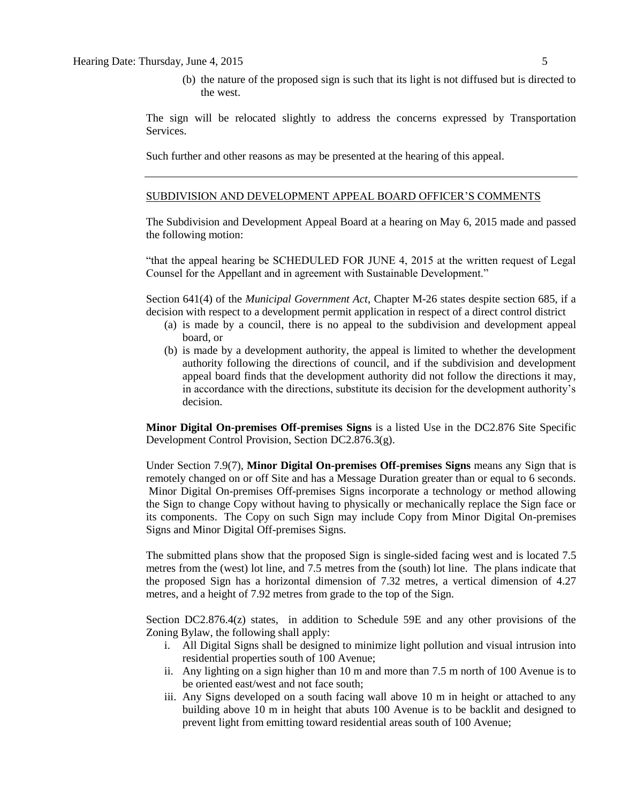(b) the nature of the proposed sign is such that its light is not diffused but is directed to the west.

The sign will be relocated slightly to address the concerns expressed by Transportation Services.

Such further and other reasons as may be presented at the hearing of this appeal.

#### SUBDIVISION AND DEVELOPMENT APPEAL BOARD OFFICER'S COMMENTS

The Subdivision and Development Appeal Board at a hearing on May 6, 2015 made and passed the following motion:

"that the appeal hearing be SCHEDULED FOR JUNE 4, 2015 at the written request of Legal Counsel for the Appellant and in agreement with Sustainable Development."

Section 641(4) of the *Municipal Government Act*, Chapter M-26 states despite section 685, if a decision with respect to a development permit application in respect of a direct control district

- (a) is made by a council, there is no appeal to the subdivision and development appeal board, or
- (b) is made by a development authority, the appeal is limited to whether the development authority following the directions of council, and if the subdivision and development appeal board finds that the development authority did not follow the directions it may, in accordance with the directions, substitute its decision for the development authority's decision.

**Minor Digital On-premises Off-premises Signs** is a listed Use in the DC2.876 Site Specific Development Control Provision, Section DC2.876.3(g).

Under Section 7.9(7), **Minor Digital On-premises Off-premises Signs** means any Sign that is remotely changed on or off Site and has a Message Duration greater than or equal to 6 seconds. Minor Digital On-premises Off-premises Signs incorporate a technology or method allowing the Sign to change Copy without having to physically or mechanically replace the Sign face or its components. The Copy on such Sign may include Copy from Minor Digital On-premises Signs and Minor Digital Off-premises Signs.

The submitted plans show that the proposed Sign is single-sided facing west and is located 7.5 metres from the (west) lot line, and 7.5 metres from the (south) lot line. The plans indicate that the proposed Sign has a horizontal dimension of 7.32 metres, a vertical dimension of 4.27 metres, and a height of 7.92 metres from grade to the top of the Sign.

Section DC2.876.4(z) states, in addition to Schedule 59E and any other provisions of the Zoning Bylaw, the following shall apply:

- i. All Digital Signs shall be designed to minimize light pollution and visual intrusion into residential properties south of 100 Avenue;
- ii. Any lighting on a sign higher than 10 m and more than 7.5 m north of 100 Avenue is to be oriented east/west and not face south;
- iii. Any Signs developed on a south facing wall above 10 m in height or attached to any building above 10 m in height that abuts 100 Avenue is to be backlit and designed to prevent light from emitting toward residential areas south of 100 Avenue;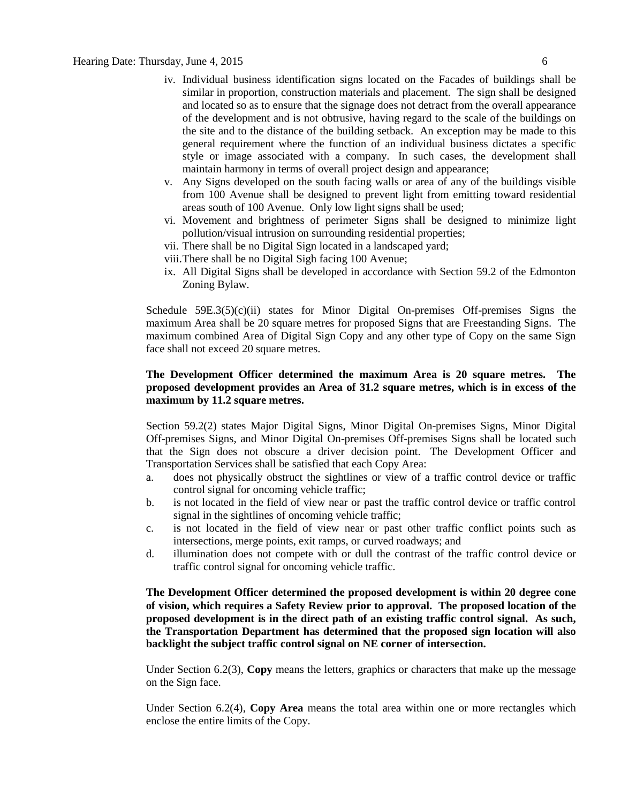- iv. Individual business identification signs located on the Facades of buildings shall be similar in proportion, construction materials and placement. The sign shall be designed and located so as to ensure that the signage does not detract from the overall appearance of the development and is not obtrusive, having regard to the scale of the buildings on the site and to the distance of the building setback. An exception may be made to this general requirement where the function of an individual business dictates a specific style or image associated with a company. In such cases, the development shall maintain harmony in terms of overall project design and appearance;
- v. Any Signs developed on the south facing walls or area of any of the buildings visible from 100 Avenue shall be designed to prevent light from emitting toward residential areas south of 100 Avenue. Only low light signs shall be used;
- vi. Movement and brightness of perimeter Signs shall be designed to minimize light pollution/visual intrusion on surrounding residential properties;
- vii. There shall be no Digital Sign located in a landscaped yard;
- viii.There shall be no Digital Sigh facing 100 Avenue;
- ix. All Digital Signs shall be developed in accordance with Section 59.2 of the Edmonton Zoning Bylaw.

Schedule  $59E.3(5)(c)(ii)$  states for Minor Digital On-premises Off-premises Signs the maximum Area shall be 20 square metres for proposed Signs that are Freestanding Signs. The maximum combined Area of Digital Sign Copy and any other type of Copy on the same Sign face shall not exceed 20 square metres.

## **The Development Officer determined the maximum Area is 20 square metres. The proposed development provides an Area of 31.2 square metres, which is in excess of the maximum by 11.2 square metres.**

Section 59.2(2) states Major Digital Signs, Minor Digital On-premises Signs, Minor Digital Off-premises Signs, and Minor Digital On-premises Off-premises Signs shall be located such that the Sign does not obscure a driver decision point. The Development Officer and Transportation Services shall be satisfied that each Copy Area:

- a. does not physically obstruct the sightlines or view of a traffic control device or traffic control signal for oncoming vehicle traffic;
- b. is not located in the field of view near or past the traffic control device or traffic control signal in the sightlines of oncoming vehicle traffic;
- c. is not located in the field of view near or past other traffic conflict points such as intersections, merge points, exit ramps, or curved roadways; and
- d. illumination does not compete with or dull the contrast of the traffic control device or traffic control signal for oncoming vehicle traffic.

**The Development Officer determined the proposed development is within 20 degree cone of vision, which requires a Safety Review prior to approval. The proposed location of the proposed development is in the direct path of an existing traffic control signal. As such, the Transportation Department has determined that the proposed sign location will also backlight the subject traffic control signal on NE corner of intersection.**

Under Section 6.2(3), **Copy** means the letters, graphics or characters that make up the message on the Sign face.

Under Section 6.2(4), **Copy Area** means the total area within one or more rectangles which enclose the entire limits of the Copy.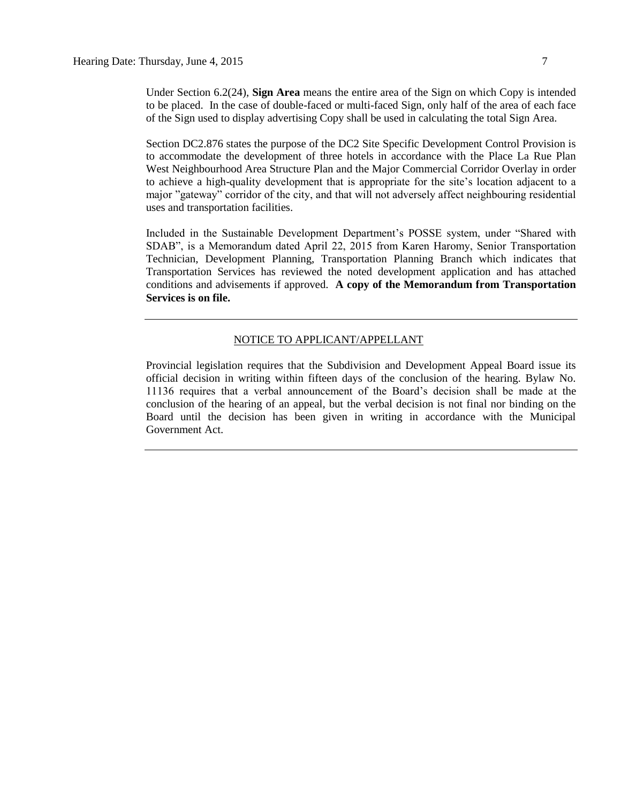Under Section 6.2(24), **Sign Area** means the entire area of the Sign on which Copy is intended to be placed. In the case of double-faced or multi-faced Sign, only half of the area of each face of the Sign used to display advertising Copy shall be used in calculating the total Sign Area.

Section DC2.876 states the purpose of the DC2 Site Specific Development Control Provision is to accommodate the development of three hotels in accordance with the Place La Rue Plan West Neighbourhood Area Structure Plan and the Major Commercial Corridor Overlay in order to achieve a high-quality development that is appropriate for the site's location adjacent to a major "gateway" corridor of the city, and that will not adversely affect neighbouring residential uses and transportation facilities.

Included in the Sustainable Development Department's POSSE system, under "Shared with SDAB", is a Memorandum dated April 22, 2015 from Karen Haromy, Senior Transportation Technician, Development Planning, Transportation Planning Branch which indicates that Transportation Services has reviewed the noted development application and has attached conditions and advisements if approved. **A copy of the Memorandum from Transportation Services is on file.**

#### NOTICE TO APPLICANT/APPELLANT

Provincial legislation requires that the Subdivision and Development Appeal Board issue its official decision in writing within fifteen days of the conclusion of the hearing. Bylaw No. 11136 requires that a verbal announcement of the Board's decision shall be made at the conclusion of the hearing of an appeal, but the verbal decision is not final nor binding on the Board until the decision has been given in writing in accordance with the Municipal Government Act.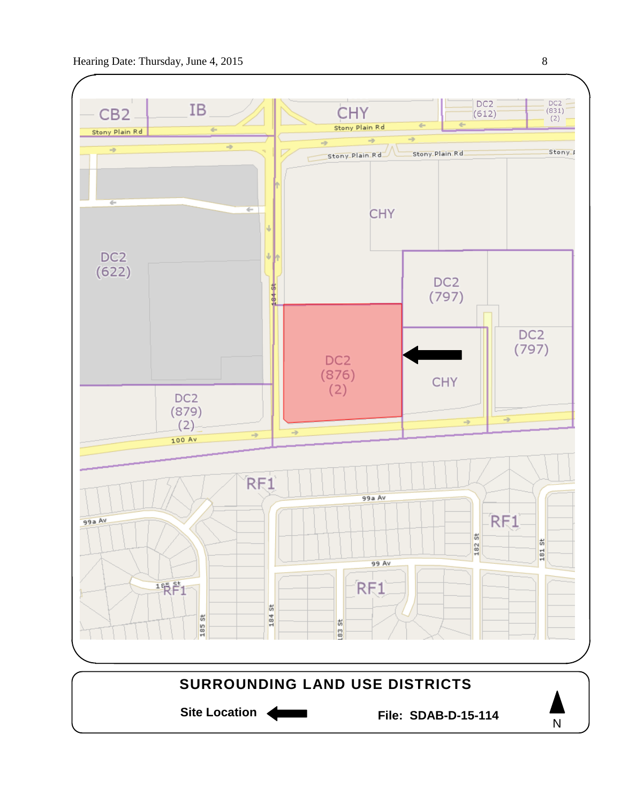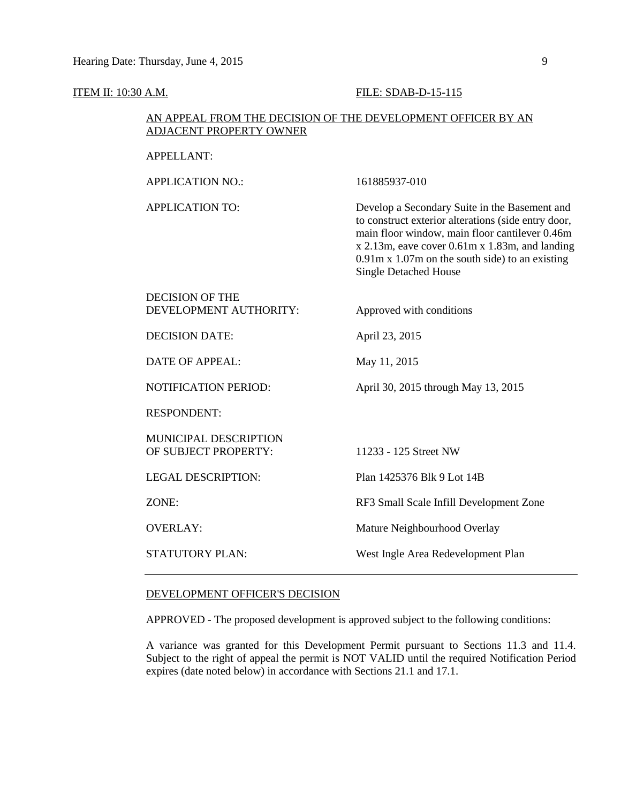#### **ITEM II: 10:30 A.M. FILE: SDAB-D-15-115**

## AN APPEAL FROM THE DECISION OF THE DEVELOPMENT OFFICER BY AN ADJACENT PROPERTY OWNER

APPELLANT:

APPLICATION NO.: 161885937-010

APPLICATION TO: Develop a Secondary Suite in the Basement and to construct exterior alterations (side entry door, main floor window, main floor cantilever 0.46m x 2.13m, eave cover 0.61m x 1.83m, and landing 0.91m x 1.07m on the south side) to an existing Single Detached House

| <b>DECISION OF THE</b> |                          |
|------------------------|--------------------------|
| DEVELOPMENT AUTHORITY: | Approved with conditions |
|                        |                          |

DECISION DATE: April 23, 2015

DATE OF APPEAL: May 11, 2015

NOTIFICATION PERIOD: April 30, 2015 through May 13, 2015

RESPONDENT:

MUNICIPAL DESCRIPTION OF SUBJECT PROPERTY: 11233 - 125 Street NW

LEGAL DESCRIPTION: Plan 1425376 Blk 9 Lot 14B

ZONE: RF3 Small Scale Infill Development Zone

OVERLAY: Mature Neighbourhood Overlay

STATUTORY PLAN: West Ingle Area Redevelopment Plan

#### DEVELOPMENT OFFICER'S DECISION

APPROVED - The proposed development is approved subject to the following conditions:

A variance was granted for this Development Permit pursuant to Sections 11.3 and 11.4. Subject to the right of appeal the permit is NOT VALID until the required Notification Period expires (date noted below) in accordance with Sections 21.1 and 17.1.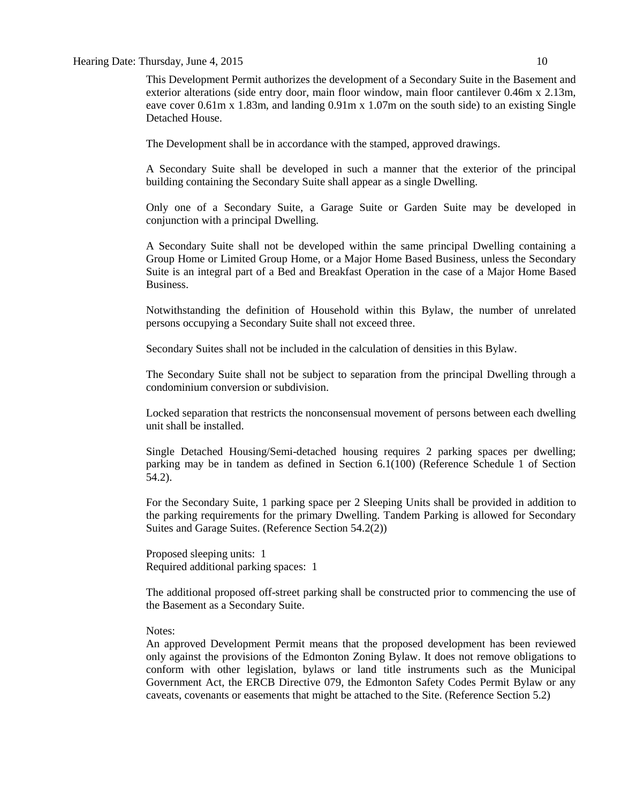This Development Permit authorizes the development of a Secondary Suite in the Basement and exterior alterations (side entry door, main floor window, main floor cantilever 0.46m x 2.13m, eave cover 0.61m x 1.83m, and landing 0.91m x 1.07m on the south side) to an existing Single Detached House.

The Development shall be in accordance with the stamped, approved drawings.

A Secondary Suite shall be developed in such a manner that the exterior of the principal building containing the Secondary Suite shall appear as a single Dwelling.

Only one of a Secondary Suite, a Garage Suite or Garden Suite may be developed in conjunction with a principal Dwelling.

A Secondary Suite shall not be developed within the same principal Dwelling containing a Group Home or Limited Group Home, or a Major Home Based Business, unless the Secondary Suite is an integral part of a Bed and Breakfast Operation in the case of a Major Home Based Business.

Notwithstanding the definition of Household within this Bylaw, the number of unrelated persons occupying a Secondary Suite shall not exceed three.

Secondary Suites shall not be included in the calculation of densities in this Bylaw.

The Secondary Suite shall not be subject to separation from the principal Dwelling through a condominium conversion or subdivision.

Locked separation that restricts the nonconsensual movement of persons between each dwelling unit shall be installed.

Single Detached Housing/Semi-detached housing requires 2 parking spaces per dwelling; parking may be in tandem as defined in Section 6.1(100) (Reference Schedule 1 of Section 54.2).

For the Secondary Suite, 1 parking space per 2 Sleeping Units shall be provided in addition to the parking requirements for the primary Dwelling. Tandem Parking is allowed for Secondary Suites and Garage Suites. (Reference Section 54.2(2))

Proposed sleeping units: 1 Required additional parking spaces: 1

The additional proposed off-street parking shall be constructed prior to commencing the use of the Basement as a Secondary Suite.

#### Notes:

An approved Development Permit means that the proposed development has been reviewed only against the provisions of the Edmonton Zoning Bylaw. It does not remove obligations to conform with other legislation, bylaws or land title instruments such as the Municipal Government Act, the ERCB Directive 079, the Edmonton Safety Codes Permit Bylaw or any caveats, covenants or easements that might be attached to the Site. (Reference Section 5.2)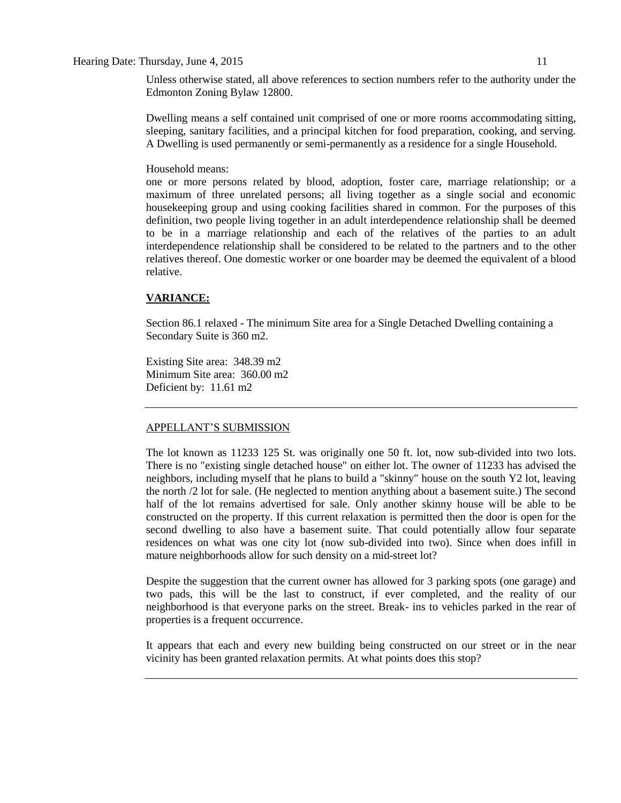Unless otherwise stated, all above references to section numbers refer to the authority under the Edmonton Zoning Bylaw 12800.

Dwelling means a self contained unit comprised of one or more rooms accommodating sitting, sleeping, sanitary facilities, and a principal kitchen for food preparation, cooking, and serving. A Dwelling is used permanently or semi-permanently as a residence for a single Household.

#### Household means:

one or more persons related by blood, adoption, foster care, marriage relationship; or a maximum of three unrelated persons; all living together as a single social and economic housekeeping group and using cooking facilities shared in common. For the purposes of this definition, two people living together in an adult interdependence relationship shall be deemed to be in a marriage relationship and each of the relatives of the parties to an adult interdependence relationship shall be considered to be related to the partners and to the other relatives thereof. One domestic worker or one boarder may be deemed the equivalent of a blood relative.

# **VARIANCE:**

Section 86.1 relaxed - The minimum Site area for a Single Detached Dwelling containing a Secondary Suite is 360 m2.

Existing Site area: 348.39 m2 Minimum Site area: 360.00 m2 Deficient by: 11.61 m2

# APPELLANT'S SUBMISSION

The lot known as 11233 125 St. was originally one 50 ft. lot, now sub-divided into two lots. There is no "existing single detached house" on either lot. The owner of 11233 has advised the neighbors, including myself that he plans to build a "skinny" house on the south Y2 lot, leaving the north /2 lot for sale. (He neglected to mention anything about a basement suite.) The second half of the lot remains advertised for sale. Only another skinny house will be able to be constructed on the property. If this current relaxation is permitted then the door is open for the second dwelling to also have a basement suite. That could potentially allow four separate residences on what was one city lot (now sub-divided into two). Since when does infill in mature neighborhoods allow for such density on a mid-street lot?

Despite the suggestion that the current owner has allowed for 3 parking spots (one garage) and two pads, this will be the last to construct, if ever completed, and the reality of our neighborhood is that everyone parks on the street. Break- ins to vehicles parked in the rear of properties is a frequent occurrence.

It appears that each and every new building being constructed on our street or in the near vicinity has been granted relaxation permits. At what points does this stop?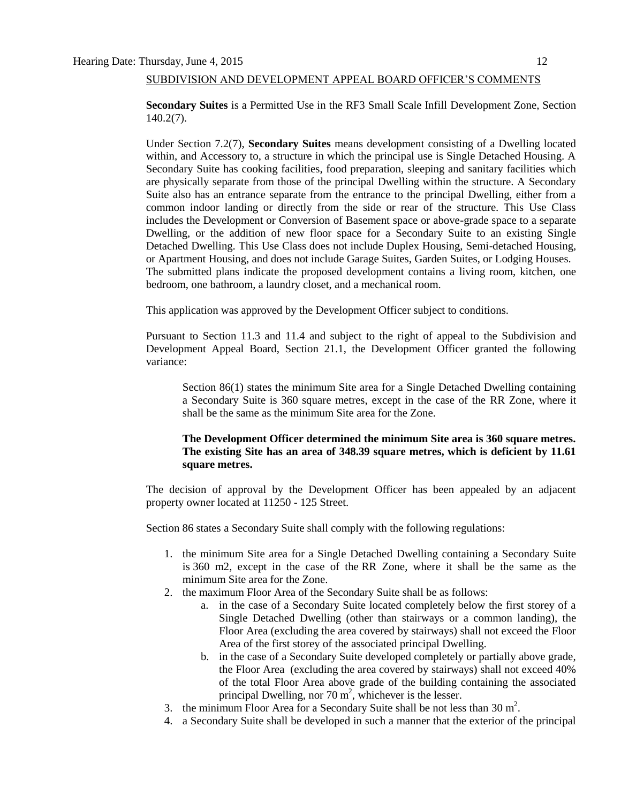## SUBDIVISION AND DEVELOPMENT APPEAL BOARD OFFICER'S COMMENTS

**Secondary Suites** is a Permitted Use in the RF3 Small Scale Infill Development Zone, Section 140.2(7).

Under Section 7.2(7), **Secondary Suites** means development consisting of a Dwelling located within, and Accessory to, a structure in which the principal use is Single Detached Housing. A Secondary Suite has cooking facilities, food preparation, sleeping and sanitary facilities which are physically separate from those of the principal Dwelling within the structure. A Secondary Suite also has an entrance separate from the entrance to the principal Dwelling, either from a common indoor landing or directly from the side or rear of the structure. This Use Class includes the Development or Conversion of Basement space or above-grade space to a separate Dwelling, or the addition of new floor space for a Secondary Suite to an existing Single Detached Dwelling. This Use Class does not include Duplex Housing, Semi-detached Housing, or Apartment Housing, and does not include Garage Suites, Garden Suites, or Lodging Houses. The submitted plans indicate the proposed development contains a living room, kitchen, one bedroom, one bathroom, a laundry closet, and a mechanical room.

This application was approved by the Development Officer subject to conditions.

Pursuant to Section 11.3 and 11.4 and subject to the right of appeal to the Subdivision and Development Appeal Board, Section 21.1, the Development Officer granted the following variance:

Section 86(1) states the minimum Site area for a Single Detached Dwelling containing a Secondary Suite is 360 square metres, except in the case of the RR Zone, where it shall be the same as the minimum Site area for the Zone.

## **The Development Officer determined the minimum Site area is 360 square metres. The existing Site has an area of 348.39 square metres, which is deficient by 11.61 square metres.**

The decision of approval by the Development Officer has been appealed by an adjacent property owner located at 11250 - 125 Street.

Section 86 states a Secondary Suite shall comply with the following regulations:

- 1. the minimum Site area for a Single Detached Dwelling containing a Secondary Suite is [360 m2,](javascript:void(0);) except in the case of the [RR Zone,](http://webdocs.edmonton.ca/InfraPlan/zoningbylaw/ZoningBylaw/Part2/Residential/240_(RR)_Rural_Residential_Zone.htm) where it shall be the same as the minimum Site area for the Zone.
- 2. the maximum Floor Area of the Secondary Suite shall be as follows:
	- a. in the case of a Secondary Suite located completely below the first storey of a Single Detached Dwelling (other than stairways or a common landing), the Floor Area (excluding the area covered by stairways) shall not exceed the Floor Area of the first storey of the associated principal Dwelling.
	- b. in the case of a Secondary Suite developed completely or partially above grade, the Floor Area (excluding the area covered by stairways) shall not exceed 40% of the total Floor Area above grade of the building containing the associated principal Dwelling, nor  $70 \text{ m}^2$ , whichever is the lesser.
- 3. the minimum Floor Area for a Secondary Suite shall be not less than  $30 \text{ m}^2$ .
- 4. a Secondary Suite shall be developed in such a manner that the exterior of the principal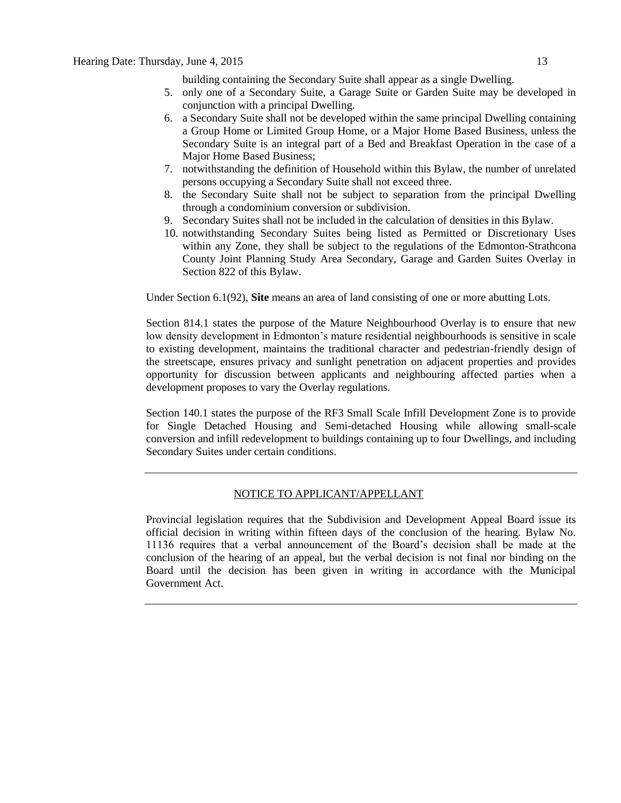building containing the Secondary Suite shall appear as a single Dwelling.

- 5. only one of a Secondary Suite, a Garage Suite or Garden Suite may be developed in conjunction with a principal Dwelling.
- 6. a Secondary Suite shall not be developed within the same principal Dwelling containing a Group Home or Limited Group Home, or a Major Home Based Business, unless the Secondary Suite is an integral part of a Bed and Breakfast Operation in the case of a Major Home Based Business;
- 7. notwithstanding the definition of Household within this Bylaw, the number of unrelated persons occupying a Secondary Suite shall not exceed three.
- 8. the Secondary Suite shall not be subject to separation from the principal Dwelling through a condominium conversion or subdivision.
- 9. Secondary Suites shall not be included in the calculation of densities in this Bylaw.
- 10. notwithstanding Secondary Suites being listed as Permitted or Discretionary Uses within any Zone, they shall be subject to the regulations of the Edmonton-Strathcona County Joint Planning Study Area Secondary, Garage and Garden Suites Overlay in Section 822 of this Bylaw.

Under Section 6.1(92), **Site** means an area of land consisting of one or more abutting Lots.

Section 814.1 states the purpose of the Mature Neighbourhood Overlay is to ensure that new low density development in Edmonton's mature residential neighbourhoods is sensitive in scale to existing development, maintains the traditional character and pedestrian-friendly design of the streetscape, ensures privacy and sunlight penetration on adjacent properties and provides opportunity for discussion between applicants and neighbouring affected parties when a development proposes to vary the Overlay regulations.

Section 140.1 states the purpose of the RF3 Small Scale Infill Development Zone is to provide for Single Detached Housing and Semi-detached Housing while allowing small-scale conversion and infill redevelopment to buildings containing up to four Dwellings, and including Secondary Suites under certain conditions.

#### NOTICE TO APPLICANT/APPELLANT

Provincial legislation requires that the Subdivision and Development Appeal Board issue its official decision in writing within fifteen days of the conclusion of the hearing. Bylaw No. 11136 requires that a verbal announcement of the Board's decision shall be made at the conclusion of the hearing of an appeal, but the verbal decision is not final nor binding on the Board until the decision has been given in writing in accordance with the Municipal Government Act.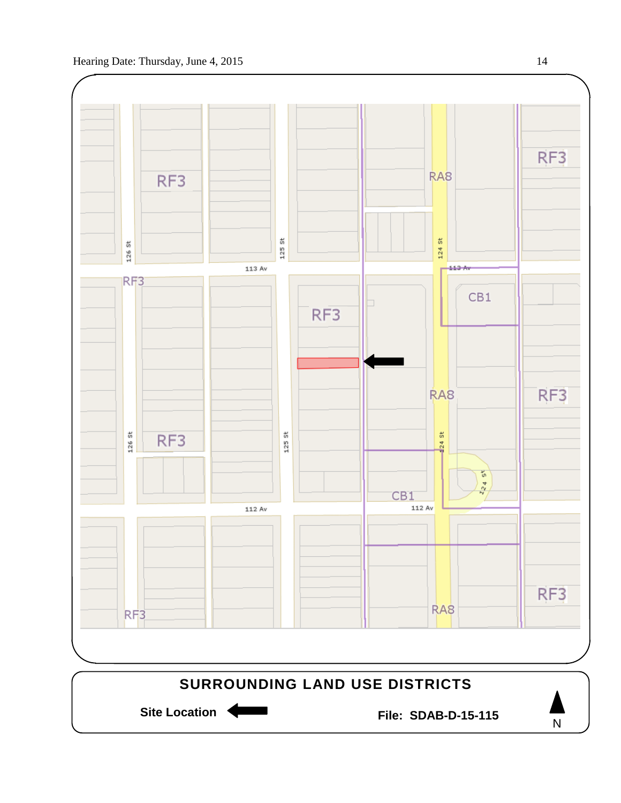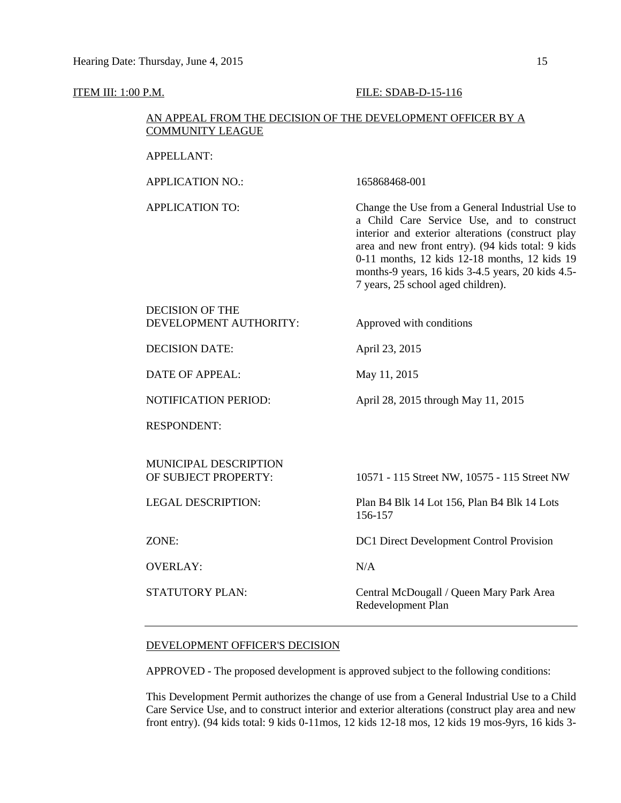#### **ITEM III: 1:00 P.M. FILE: SDAB-D-15-116**

# AN APPEAL FROM THE DECISION OF THE DEVELOPMENT OFFICER BY A COMMUNITY LEAGUE

APPELLANT:

APPLICATION NO.: 165868468-001

APPLICATION TO: Change the Use from a General Industrial Use to a Child Care Service Use, and to construct interior and exterior alterations (construct play area and new front entry). (94 kids total: 9 kids 0-11 months, 12 kids 12-18 months, 12 kids 19 months-9 years, 16 kids 3-4.5 years, 20 kids 4.5- 7 years, 25 school aged children).

#### DECISION OF THE DEVELOPMENT AUTHORITY: Approved with conditions

DECISION DATE: April 23, 2015

DATE OF APPEAL: May 11, 2015

NOTIFICATION PERIOD: April 28, 2015 through May 11, 2015

RESPONDENT:

MUNICIPAL DESCRIPTION OF SUBJECT PROPERTY: 10571 - 115 Street NW, 10575 - 115 Street NW

OVERLAY: N/A

LEGAL DESCRIPTION: Plan B4 Blk 14 Lot 156, Plan B4 Blk 14 Lots 156-157

ZONE: DC1 Direct Development Control Provision

STATUTORY PLAN: Central McDougall / Queen Mary Park Area Redevelopment Plan

#### DEVELOPMENT OFFICER'S DECISION

APPROVED - The proposed development is approved subject to the following conditions:

This Development Permit authorizes the change of use from a General Industrial Use to a Child Care Service Use, and to construct interior and exterior alterations (construct play area and new front entry). (94 kids total: 9 kids 0-11mos, 12 kids 12-18 mos, 12 kids 19 mos-9yrs, 16 kids 3-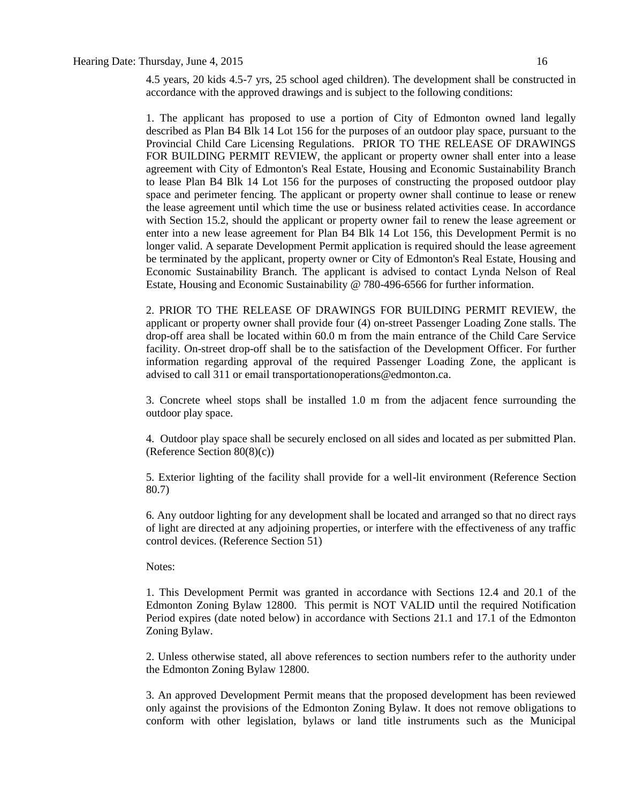4.5 years, 20 kids 4.5-7 yrs, 25 school aged children). The development shall be constructed in accordance with the approved drawings and is subject to the following conditions:

1. The applicant has proposed to use a portion of City of Edmonton owned land legally described as Plan B4 Blk 14 Lot 156 for the purposes of an outdoor play space, pursuant to the Provincial Child Care Licensing Regulations. PRIOR TO THE RELEASE OF DRAWINGS FOR BUILDING PERMIT REVIEW, the applicant or property owner shall enter into a lease agreement with City of Edmonton's Real Estate, Housing and Economic Sustainability Branch to lease Plan B4 Blk 14 Lot 156 for the purposes of constructing the proposed outdoor play space and perimeter fencing. The applicant or property owner shall continue to lease or renew the lease agreement until which time the use or business related activities cease. In accordance with Section 15.2, should the applicant or property owner fail to renew the lease agreement or enter into a new lease agreement for Plan B4 Blk 14 Lot 156, this Development Permit is no longer valid. A separate Development Permit application is required should the lease agreement be terminated by the applicant, property owner or City of Edmonton's Real Estate, Housing and Economic Sustainability Branch. The applicant is advised to contact Lynda Nelson of Real Estate, Housing and Economic Sustainability @ 780-496-6566 for further information.

2. PRIOR TO THE RELEASE OF DRAWINGS FOR BUILDING PERMIT REVIEW, the applicant or property owner shall provide four (4) on-street Passenger Loading Zone stalls. The drop-off area shall be located within 60.0 m from the main entrance of the Child Care Service facility. On-street drop-off shall be to the satisfaction of the Development Officer. For further information regarding approval of the required Passenger Loading Zone, the applicant is advised to call 311 or email transportationoperations@edmonton.ca.

3. Concrete wheel stops shall be installed 1.0 m from the adjacent fence surrounding the outdoor play space.

4. Outdoor play space shall be securely enclosed on all sides and located as per submitted Plan. (Reference Section 80(8)(c))

5. Exterior lighting of the facility shall provide for a well-lit environment (Reference Section 80.7)

6. Any outdoor lighting for any development shall be located and arranged so that no direct rays of light are directed at any adjoining properties, or interfere with the effectiveness of any traffic control devices. (Reference Section 51)

#### Notes:

1. This Development Permit was granted in accordance with Sections 12.4 and 20.1 of the Edmonton Zoning Bylaw 12800. This permit is NOT VALID until the required Notification Period expires (date noted below) in accordance with Sections 21.1 and 17.1 of the Edmonton Zoning Bylaw.

2. Unless otherwise stated, all above references to section numbers refer to the authority under the Edmonton Zoning Bylaw 12800.

3. An approved Development Permit means that the proposed development has been reviewed only against the provisions of the Edmonton Zoning Bylaw. It does not remove obligations to conform with other legislation, bylaws or land title instruments such as the Municipal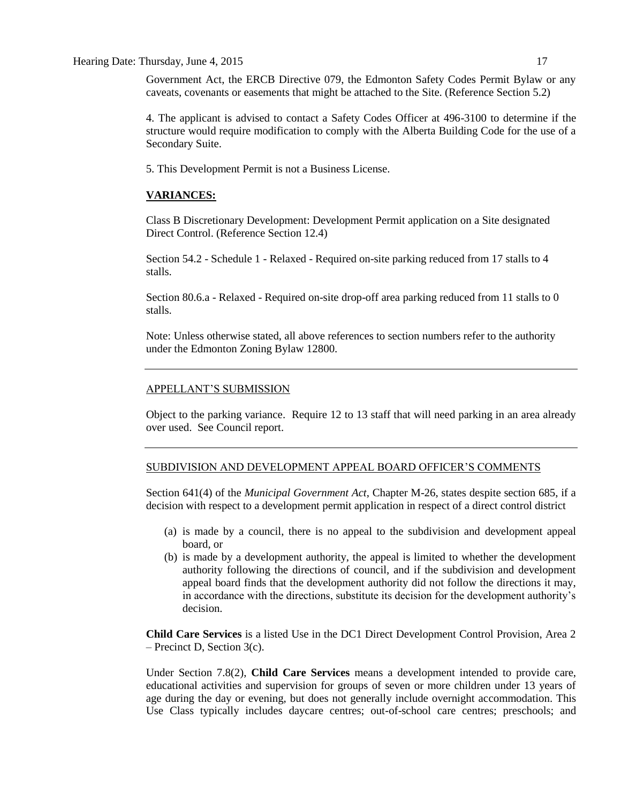Government Act, the ERCB Directive 079, the Edmonton Safety Codes Permit Bylaw or any caveats, covenants or easements that might be attached to the Site. (Reference Section 5.2)

4. The applicant is advised to contact a Safety Codes Officer at 496-3100 to determine if the structure would require modification to comply with the Alberta Building Code for the use of a Secondary Suite.

5. This Development Permit is not a Business License.

#### **VARIANCES:**

Class B Discretionary Development: Development Permit application on a Site designated Direct Control. (Reference Section 12.4)

Section 54.2 - Schedule 1 - Relaxed - Required on-site parking reduced from 17 stalls to 4 stalls.

Section 80.6.a - Relaxed - Required on-site drop-off area parking reduced from 11 stalls to 0 stalls.

Note: Unless otherwise stated, all above references to section numbers refer to the authority under the Edmonton Zoning Bylaw 12800.

## APPELLANT'S SUBMISSION

Object to the parking variance. Require 12 to 13 staff that will need parking in an area already over used. See Council report.

#### SUBDIVISION AND DEVELOPMENT APPEAL BOARD OFFICER'S COMMENTS

Section 641(4) of the *Municipal Government Act*, Chapter M-26, states despite section 685, if a decision with respect to a development permit application in respect of a direct control district

- (a) is made by a council, there is no appeal to the subdivision and development appeal board, or
- (b) is made by a development authority, the appeal is limited to whether the development authority following the directions of council, and if the subdivision and development appeal board finds that the development authority did not follow the directions it may, in accordance with the directions, substitute its decision for the development authority's decision.

**Child Care Services** is a listed Use in the DC1 Direct Development Control Provision, Area 2 – Precinct D, Section 3(c).

Under Section 7.8(2), **Child Care Services** means a development intended to provide care, educational activities and supervision for groups of seven or more children under 13 years of age during the day or evening, but does not generally include overnight accommodation. This Use Class typically includes daycare centres; out-of-school care centres; preschools; and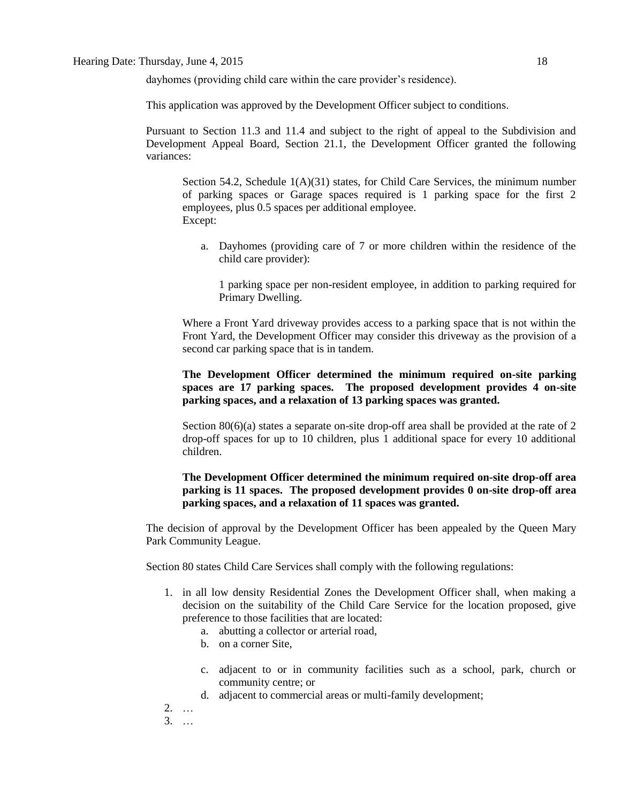dayhomes (providing child care within the care provider's residence).

This application was approved by the Development Officer subject to conditions.

Pursuant to Section 11.3 and 11.4 and subject to the right of appeal to the Subdivision and Development Appeal Board, Section 21.1, the Development Officer granted the following variances:

Section 54.2, Schedule  $1(A)(31)$  states, for Child Care Services, the minimum number of parking spaces or Garage spaces required is 1 parking space for the first 2 employees, plus 0.5 spaces per additional employee. Except:

a. Dayhomes (providing care of 7 or more children within the residence of the child care provider):

1 parking space per non-resident employee, in addition to parking required for Primary Dwelling.

Where a Front Yard driveway provides access to a parking space that is not within the Front Yard, the Development Officer may consider this driveway as the provision of a second car parking space that is in tandem.

# **The Development Officer determined the minimum required on-site parking spaces are 17 parking spaces. The proposed development provides 4 on-site parking spaces, and a relaxation of 13 parking spaces was granted.**

Section  $80(6)(a)$  states a separate on-site drop-off area shall be provided at the rate of 2 drop-off spaces for up to 10 children, plus 1 additional space for every 10 additional children.

## **The Development Officer determined the minimum required on-site drop-off area parking is 11 spaces. The proposed development provides 0 on-site drop-off area parking spaces, and a relaxation of 11 spaces was granted.**

The decision of approval by the Development Officer has been appealed by the Queen Mary Park Community League.

Section 80 states [Child Care Services](javascript:void(0);) shall comply with the following regulations:

- 1. in all low density Residential Zones the Development Officer shall, when making a decision on the suitability of the Child Care Service for the location proposed, give preference to those facilities that are located:
	- a. abutting a collector or arterial road,
	- b. on a corner Site,
	- c. adjacent to or in community facilities such as a school, park, church or community centre; or
	- d. adjacent to commercial areas or multi-family development;
- 2. …
- 3. …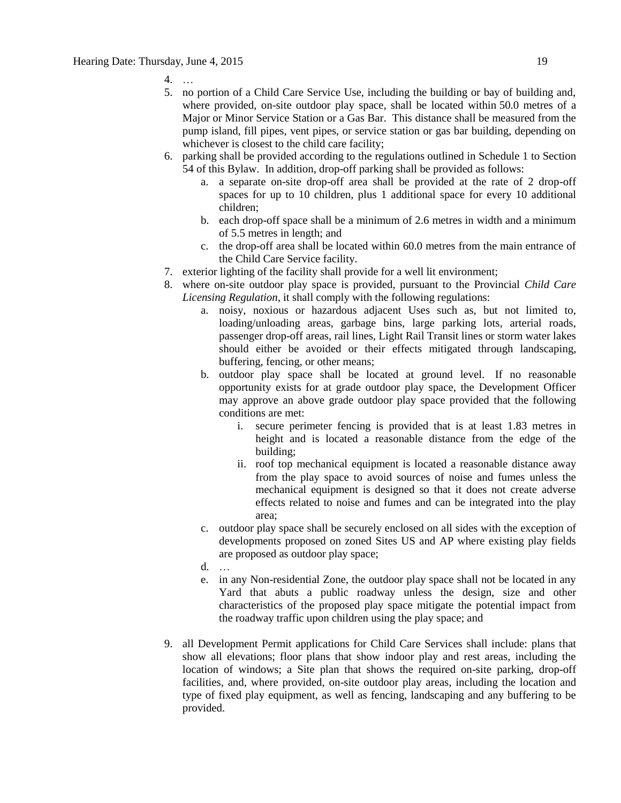- 4. …
- 5. no portion of a Child Care Service Use, including the building or bay of building and, where provided, on-site outdoor play space, shall be located within 50.0 metres of a Major or Minor Service Station or a Gas Bar. This distance shall be measured from the pump island, fill pipes, vent pipes, or service station or gas bar building, depending on whichever is closest to the child care facility;
- 6. parking shall be provided according to the regulations outlined in Schedule 1 to Section 54 of this Bylaw. In addition, drop-off parking shall be provided as follows:
	- a. a separate on-site drop-off area shall be provided at the rate of 2 drop-off spaces for up to 10 children, plus 1 additional space for every 10 additional children;
	- b. each drop-off space shall be a minimum of 2.6 metres in width and a minimum of 5.5 metres in length; and
	- c. the drop-off area shall be located within 60.0 metres from the main entrance of the Child Care Service facility.
- 7. exterior lighting of the facility shall provide for a well lit environment;
- 8. where on-site outdoor play space is provided, pursuant to the Provincial *Child Care Licensing Regulation*, it shall comply with the following regulations:
	- a. noisy, noxious or hazardous adjacent Uses such as, but not limited to, loading/unloading areas, garbage bins, large parking lots, arterial roads, passenger drop-off areas, rail lines, Light Rail Transit lines or storm water lakes should either be avoided or their effects mitigated through landscaping, buffering, fencing, or other means;
	- b. outdoor play space shall be located at ground level. If no reasonable opportunity exists for at grade outdoor play space, the Development Officer may approve an above grade outdoor play space provided that the following conditions are met:
		- i. secure perimeter fencing is provided that is at least 1.83 metres in height and is located a reasonable distance from the edge of the building;
		- ii. roof top mechanical equipment is located a reasonable distance away from the play space to avoid sources of noise and fumes unless the mechanical equipment is designed so that it does not create adverse effects related to noise and fumes and can be integrated into the play area;
	- c. outdoor play space shall be securely enclosed on all sides with the exception of developments proposed on zoned Sites US and AP where existing play fields are proposed as outdoor play space;
	- d. …
	- e. in any Non-residential Zone, the outdoor play space shall not be located in any Yard that abuts a public roadway unless the design, size and other characteristics of the proposed play space mitigate the potential impact from the roadway traffic upon children using the play space; and
- 9. all Development Permit applications for Child Care Services shall include: plans that show all elevations; floor plans that show indoor play and rest areas, including the location of windows; a Site plan that shows the required on-site parking, drop-off facilities, and, where provided, on-site outdoor play areas, including the location and type of fixed play equipment, as well as fencing, landscaping and any buffering to be provided.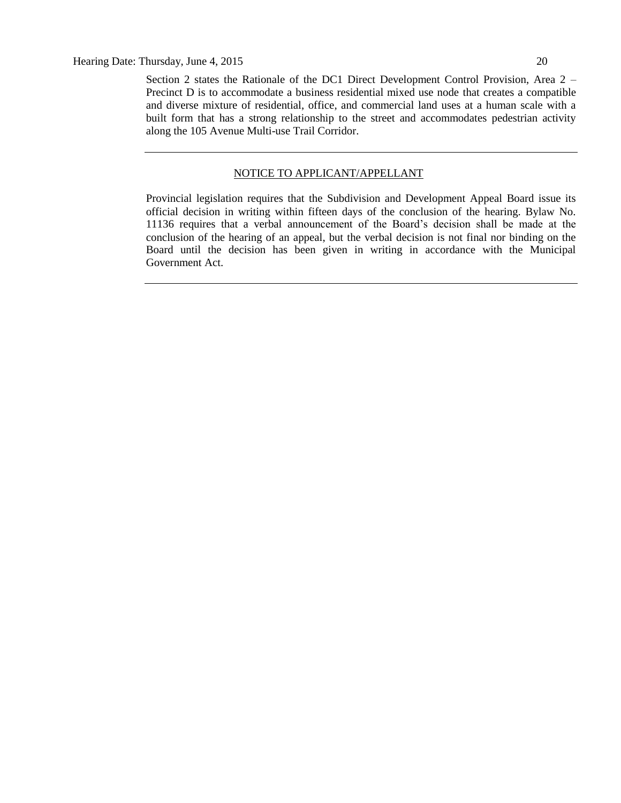Section 2 states the Rationale of the DC1 Direct Development Control Provision, Area 2 – Precinct D is to accommodate a business residential mixed use node that creates a compatible and diverse mixture of residential, office, and commercial land uses at a human scale with a built form that has a strong relationship to the street and accommodates pedestrian activity along the 105 Avenue Multi-use Trail Corridor.

## NOTICE TO APPLICANT/APPELLANT

Provincial legislation requires that the Subdivision and Development Appeal Board issue its official decision in writing within fifteen days of the conclusion of the hearing. Bylaw No. 11136 requires that a verbal announcement of the Board's decision shall be made at the conclusion of the hearing of an appeal, but the verbal decision is not final nor binding on the Board until the decision has been given in writing in accordance with the Municipal Government Act.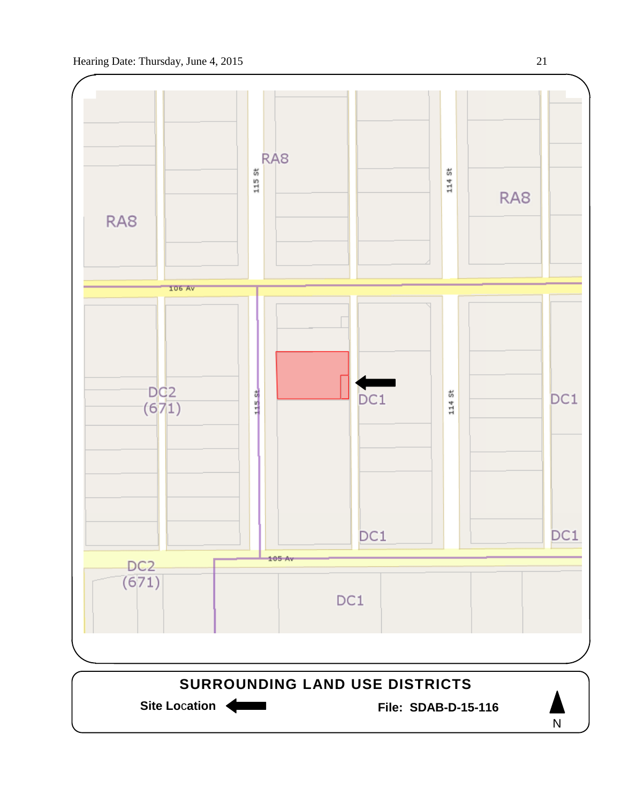